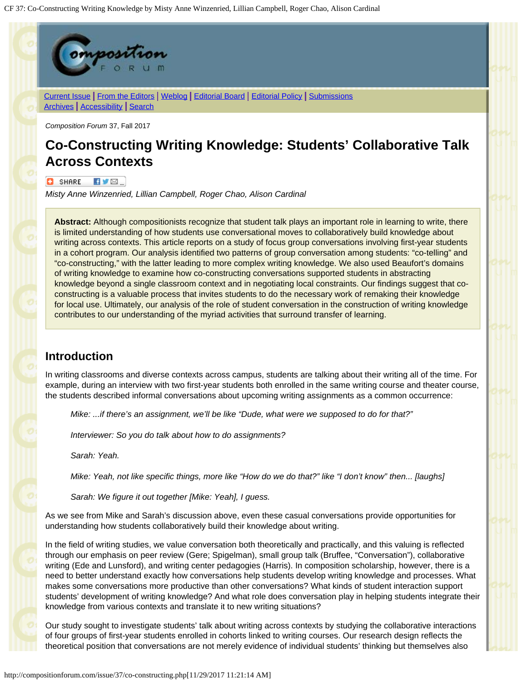

#### $\bullet$  share  $\bullet$   $\bullet$   $\bullet$

*Misty Anne Winzenried, Lillian Campbell, Roger Chao, Alison Cardinal*

**Abstract:** Although compositionists recognize that student talk plays an important role in learning to write, there is limited understanding of how students use conversational moves to collaboratively build knowledge about writing across contexts. This article reports on a study of focus group conversations involving first-year students in a cohort program. Our analysis identified two patterns of group conversation among students: "co-telling" and "co-constructing," with the latter leading to more complex writing knowledge. We also used Beaufort's domains of writing knowledge to examine how co-constructing conversations supported students in abstracting knowledge beyond a single classroom context and in negotiating local constraints. Our findings suggest that coconstructing is a valuable process that invites students to do the necessary work of remaking their knowledge for local use. Ultimately, our analysis of the role of student conversation in the construction of writing knowledge contributes to our understanding of the myriad activities that surround transfer of learning.

### **Introduction**

In writing classrooms and diverse contexts across campus, students are talking about their writing all of the time. For example, during an interview with two first-year students both enrolled in the same writing course and theater course, the students described informal conversations about upcoming writing assignments as a common occurrence:

*Mike: ...if there's an assignment, we'll be like "Dude, what were we supposed to do for that?"*

*Interviewer: So you do talk about how to do assignments?*

*Sarah: Yeah.*

*Mike: Yeah, not like specific things, more like "How do we do that?" like "I don't know" then... [laughs]*

*Sarah: We figure it out together [Mike: Yeah], I guess.*

As we see from Mike and Sarah's discussion above, even these casual conversations provide opportunities for understanding how students collaboratively build their knowledge about writing.

In the field of writing studies, we value conversation both theoretically and practically, and this valuing is reflected through our emphasis on peer review (Gere; Spigelman), small group talk (Bruffee, "Conversation"), collaborative writing (Ede and Lunsford), and writing center pedagogies (Harris). In composition scholarship, however, there is a need to better understand exactly how conversations help students develop writing knowledge and processes. What makes some conversations more productive than other conversations? What kinds of student interaction support students' development of writing knowledge? And what role does conversation play in helping students integrate their knowledge from various contexts and translate it to new writing situations?

Our study sought to investigate students' talk about writing across contexts by studying the collaborative interactions of four groups of first-year students enrolled in cohorts linked to writing courses. Our research design reflects the theoretical position that conversations are not merely evidence of individual students' thinking but themselves also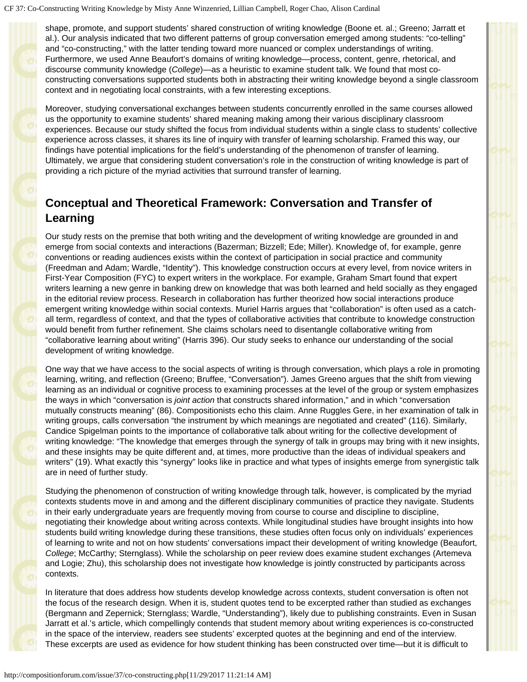shape, promote, and support students' shared construction of writing knowledge (Boone et. al.; Greeno; Jarratt et al.). Our analysis indicated that two different patterns of group conversation emerged among students: "co-telling" and "co-constructing," with the latter tending toward more nuanced or complex understandings of writing. Furthermore, we used Anne Beaufort's domains of writing knowledge—process, content, genre, rhetorical, and discourse community knowledge (*College*)—as a heuristic to examine student talk. We found that most coconstructing conversations supported students both in abstracting their writing knowledge beyond a single classroom context and in negotiating local constraints, with a few interesting exceptions.

Moreover, studying conversational exchanges between students concurrently enrolled in the same courses allowed us the opportunity to examine students' shared meaning making among their various disciplinary classroom experiences. Because our study shifted the focus from individual students within a single class to students' collective experience across classes, it shares its line of inquiry with transfer of learning scholarship. Framed this way, our findings have potential implications for the field's understanding of the phenomenon of transfer of learning. Ultimately, we argue that considering student conversation's role in the construction of writing knowledge is part of providing a rich picture of the myriad activities that surround transfer of learning.

## **Conceptual and Theoretical Framework: Conversation and Transfer of Learning**

Our study rests on the premise that both writing and the development of writing knowledge are grounded in and emerge from social contexts and interactions (Bazerman; Bizzell; Ede; Miller). Knowledge of, for example, genre conventions or reading audiences exists within the context of participation in social practice and community (Freedman and Adam; Wardle, "Identity"). This knowledge construction occurs at every level, from novice writers in First-Year Composition (FYC) to expert writers in the workplace. For example, Graham Smart found that expert writers learning a new genre in banking drew on knowledge that was both learned and held socially as they engaged in the editorial review process. Research in collaboration has further theorized how social interactions produce emergent writing knowledge within social contexts. Muriel Harris argues that "collaboration" is often used as a catchall term, regardless of context, and that the types of collaborative activities that contribute to knowledge construction would benefit from further refinement. She claims scholars need to disentangle collaborative writing from "collaborative learning about writing" (Harris 396). Our study seeks to enhance our understanding of the social development of writing knowledge.

One way that we have access to the social aspects of writing is through conversation, which plays a role in promoting learning, writing, and reflection (Greeno; Bruffee, "Conversation"). James Greeno argues that the shift from viewing learning as an individual or cognitive process to examining processes at the level of the group or system emphasizes the ways in which "conversation is *joint action* that constructs shared information," and in which "conversation mutually constructs meaning" (86). Compositionists echo this claim. Anne Ruggles Gere, in her examination of talk in writing groups, calls conversation "the instrument by which meanings are negotiated and created" (116). Similarly, Candice Spigelman points to the importance of collaborative talk about writing for the collective development of writing knowledge: "The knowledge that emerges through the synergy of talk in groups may bring with it new insights, and these insights may be quite different and, at times, more productive than the ideas of individual speakers and writers" (19). What exactly this "synergy" looks like in practice and what types of insights emerge from synergistic talk are in need of further study.

Studying the phenomenon of construction of writing knowledge through talk, however, is complicated by the myriad contexts students move in and among and the different disciplinary communities of practice they navigate. Students in their early undergraduate years are frequently moving from course to course and discipline to discipline, negotiating their knowledge about writing across contexts. While longitudinal studies have brought insights into how students build writing knowledge during these transitions, these studies often focus only on individuals' experiences of learning to write and not on how students' conversations impact their development of writing knowledge (Beaufort, *College*; McCarthy; Sternglass). While the scholarship on peer review does examine student exchanges (Artemeva and Logie; Zhu), this scholarship does not investigate how knowledge is jointly constructed by participants across contexts.

In literature that does address how students develop knowledge across contexts, student conversation is often not the focus of the research design. When it is, student quotes tend to be excerpted rather than studied as exchanges (Bergmann and Zepernick; Sternglass; Wardle, "Understanding"), likely due to publishing constraints. Even in Susan Jarratt et al.'s article, which compellingly contends that student memory about writing experiences is co-constructed in the space of the interview, readers see students' excerpted quotes at the beginning and end of the interview. These excerpts are used as evidence for how student thinking has been constructed over time—but it is difficult to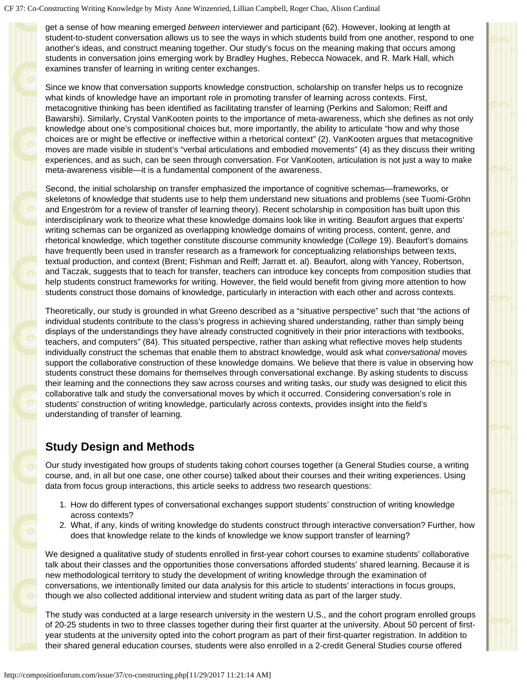get a sense of how meaning emerged *between* interviewer and participant (62). However, looking at length at student-to-student conversation allows us to see the ways in which students build from one another, respond to one another's ideas, and construct meaning together. Our study's focus on the meaning making that occurs among students in conversation joins emerging work by Bradley Hughes, Rebecca Nowacek, and R. Mark Hall, which examines transfer of learning in writing center exchanges.

Since we know that conversation supports knowledge construction, scholarship on transfer helps us to recognize what kinds of knowledge have an important role in promoting transfer of learning across contexts. First, metacognitive thinking has been identified as facilitating transfer of learning (Perkins and Salomon; Reiff and Bawarshi). Similarly, Crystal VanKooten points to the importance of meta-awareness, which she defines as not only knowledge about one's compositional choices but, more importantly, the ability to articulate "how and why those choices are or might be effective or ineffective within a rhetorical context" (2). VanKooten argues that metacognitive moves are made visible in student's "verbal articulations and embodied movements" (4) as they discuss their writing experiences, and as such, can be seen through conversation. For VanKooten, articulation is not just a way to make meta-awareness visible—it is a fundamental component of the awareness.

Second, the initial scholarship on transfer emphasized the importance of cognitive schemas—frameworks, or skeletons of knowledge that students use to help them understand new situations and problems (see Tuomi-Gröhn and Engeström for a review of transfer of learning theory). Recent scholarship in composition has built upon this interdisciplinary work to theorize what these knowledge domains look like in writing. Beaufort argues that experts' writing schemas can be organized as overlapping knowledge domains of writing process, content, genre, and rhetorical knowledge, which together constitute discourse community knowledge (*College* 19). Beaufort's domains have frequently been used in transfer research as a framework for conceptualizing relationships between texts, textual production, and context (Brent; Fishman and Reiff; Jarratt et. al). Beaufort, along with Yancey, Robertson, and Taczak, suggests that to teach for transfer, teachers can introduce key concepts from composition studies that help students construct frameworks for writing. However, the field would benefit from giving more attention to how students construct those domains of knowledge, particularly in interaction with each other and across contexts.

Theoretically, our study is grounded in what Greeno described as a "situative perspective" such that "the actions of individual students contribute to the class's progress in achieving shared understanding, rather than simply being displays of the understandings they have already constructed cognitively in their prior interactions with textbooks, teachers, and computers" (84). This situated perspective, rather than asking what reflective moves help students individually construct the schemas that enable them to abstract knowledge, would ask what *conversational* moves support the collaborative construction of these knowledge domains. We believe that there is value in observing how students construct these domains for themselves through conversational exchange. By asking students to discuss their learning and the connections they saw across courses and writing tasks, our study was designed to elicit this collaborative talk and study the conversational moves by which it occurred. Considering conversation's role in students' construction of writing knowledge, particularly across contexts, provides insight into the field's understanding of transfer of learning.

## **Study Design and Methods**

Our study investigated how groups of students taking cohort courses together (a General Studies course, a writing course, and, in all but one case, one other course) talked about their courses and their writing experiences. Using data from focus group interactions, this article seeks to address two research questions:

- 1. How do different types of conversational exchanges support students' construction of writing knowledge across contexts?
- 2. What, if any, kinds of writing knowledge do students construct through interactive conversation? Further, how does that knowledge relate to the kinds of knowledge we know support transfer of learning?

We designed a qualitative study of students enrolled in first-year cohort courses to examine students' collaborative talk about their classes and the opportunities those conversations afforded students' shared learning. Because it is new methodological territory to study the development of writing knowledge through the examination of conversations, we intentionally limited our data analysis for this article to students' interactions in focus groups, though we also collected additional interview and student writing data as part of the larger study.

The study was conducted at a large research university in the western U.S., and the cohort program enrolled groups of 20-25 students in two to three classes together during their first quarter at the university. About 50 percent of firstyear students at the university opted into the cohort program as part of their first-quarter registration. In addition to their shared general education courses, students were also enrolled in a 2-credit General Studies course offered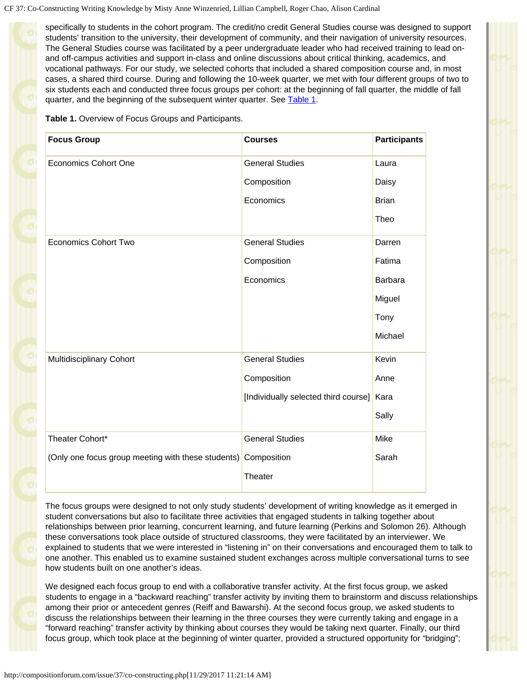specifically to students in the cohort program. The credit/no credit General Studies course was designed to support students' transition to the university, their development of community, and their navigation of university resources. The General Studies course was facilitated by a peer undergraduate leader who had received training to lead onand off-campus activities and support in-class and online discussions about critical thinking, academics, and vocational pathways. For our study, we selected cohorts that included a shared composition course and, in most cases, a shared third course. During and following the 10-week quarter, we met with four different groups of two to six students each and conducted three focus groups per cohort: at the beginning of fall quarter, the middle of fall quarter, and the beginning of the subsequent winter quarter. See [Table 1](#page-3-0).

**Table 1.** Overview of Focus Groups and Participants.

<span id="page-3-0"></span>

| <b>Focus Group</b>                                             | <b>Courses</b>                            | <b>Participants</b> |
|----------------------------------------------------------------|-------------------------------------------|---------------------|
| <b>Economics Cohort One</b>                                    | <b>General Studies</b>                    | Laura               |
|                                                                | Composition                               | Daisy               |
|                                                                | Economics                                 | <b>Brian</b>        |
|                                                                |                                           | Theo                |
| <b>Economics Cohort Two</b>                                    | <b>General Studies</b>                    | Darren              |
|                                                                | Composition                               | Fatima              |
|                                                                | Economics                                 | <b>Barbara</b>      |
|                                                                |                                           | Miguel              |
|                                                                |                                           | Tony                |
|                                                                |                                           | Michael             |
| Multidisciplinary Cohort                                       | <b>General Studies</b>                    | Kevin               |
|                                                                | Composition                               | Anne                |
|                                                                | [Individually selected third course] Kara |                     |
|                                                                |                                           | Sally               |
| Theater Cohort*                                                | <b>General Studies</b>                    | Mike                |
| (Only one focus group meeting with these students) Composition |                                           | Sarah               |
|                                                                | Theater                                   |                     |

The focus groups were designed to not only study students' development of writing knowledge as it emerged in student conversations but also to facilitate three activities that engaged students in talking together about relationships between prior learning, concurrent learning, and future learning (Perkins and Solomon 26). Although these conversations took place outside of structured classrooms, they were facilitated by an interviewer. We explained to students that we were interested in "listening in" on their conversations and encouraged them to talk to one another. This enabled us to examine sustained student exchanges across multiple conversational turns to see how students built on one another's ideas.

We designed each focus group to end with a collaborative transfer activity. At the first focus group, we asked students to engage in a "backward reaching" transfer activity by inviting them to brainstorm and discuss relationships among their prior or antecedent genres (Reiff and Bawarshi). At the second focus group, we asked students to discuss the relationships between their learning in the three courses they were currently taking and engage in a "forward reaching" transfer activity by thinking about courses they would be taking next quarter. Finally, our third focus group, which took place at the beginning of winter quarter, provided a structured opportunity for "bridging";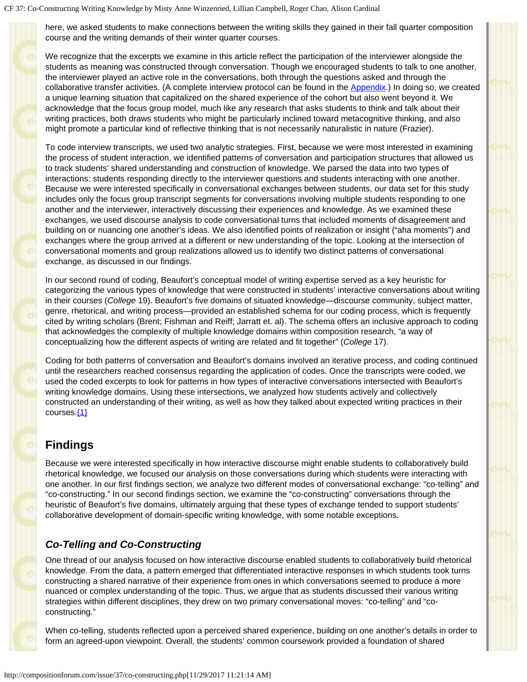here, we asked students to make connections between the writing skills they gained in their fall quarter composition course and the writing demands of their winter quarter courses.

We recognize that the excerpts we examine in this article reflect the participation of the interviewer alongside the students as meaning was constructed through conversation. Though we encouraged students to talk to one another, the interviewer played an active role in the conversations, both through the questions asked and through the collaborative transfer activities. (A complete interview protocol can be found in the [Appendix.](#page-11-0)) In doing so, we created a unique learning situation that capitalized on the shared experience of the cohort but also went beyond it. We acknowledge that the focus group model, much like any research that asks students to think and talk about their writing practices, both draws students who might be particularly inclined toward metacognitive thinking, and also might promote a particular kind of reflective thinking that is not necessarily naturalistic in nature (Frazier).

To code interview transcripts, we used two analytic strategies. First, because we were most interested in examining the process of student interaction, we identified patterns of conversation and participation structures that allowed us to track students' shared understanding and construction of knowledge. We parsed the data into two types of interactions: students responding directly to the interviewer questions and students interacting with one another. Because we were interested specifically in conversational exchanges between students, our data set for this study includes only the focus group transcript segments for conversations involving multiple students responding to one another and the interviewer, interactively discussing their experiences and knowledge. As we examined these exchanges, we used discourse analysis to code conversational turns that included moments of disagreement and building on or nuancing one another's ideas. We also identified points of realization or insight ("aha moments") and exchanges where the group arrived at a different or new understanding of the topic. Looking at the intersection of conversational moments and group realizations allowed us to identify two distinct patterns of conversational exchange, as discussed in our findings.

In our second round of coding, Beaufort's conceptual model of writing expertise served as a key heuristic for categorizing the various types of knowledge that were constructed in students' interactive conversations about writing in their courses (*College* 19). Beaufort's five domains of situated knowledge—discourse community, subject matter, genre, rhetorical, and writing process—provided an established schema for our coding process, which is frequently cited by writing scholars (Brent; Fishman and Reiff; Jarratt et. al). The schema offers an inclusive approach to coding that acknowledges the complexity of multiple knowledge domains within composition research, "a way of conceptualizing how the different aspects of writing are related and fit together" (*College* 17).

Coding for both patterns of conversation and Beaufort's domains involved an iterative process, and coding continued until the researchers reached consensus regarding the application of codes. Once the transcripts were coded, we used the coded excerpts to look for patterns in how types of interactive conversations intersected with Beaufort's writing knowledge domains. Using these intersections, we analyzed how students actively and collectively constructed an understanding of their writing, as well as how they talked about expected writing practices in their courses.[{1}](#page-13-0)

## <span id="page-4-0"></span>**Findings**

Because we were interested specifically in how interactive discourse might enable students to collaboratively build rhetorical knowledge, we focused our analysis on those conversations during which students were interacting with one another. In our first findings section, we analyze two different modes of conversational exchange: "co-telling" and "co-constructing." In our second findings section, we examine the "co-constructing" conversations through the heuristic of Beaufort's five domains, ultimately arguing that these types of exchange tended to support students' collaborative development of domain-specific writing knowledge, with some notable exceptions.

## *Co-Telling and Co-Constructing*

One thread of our analysis focused on how interactive discourse enabled students to collaboratively build rhetorical knowledge. From the data, a pattern emerged that differentiated interactive responses in which students took turns constructing a shared narrative of their experience from ones in which conversations seemed to produce a more nuanced or complex understanding of the topic. Thus, we argue that as students discussed their various writing strategies within different disciplines, they drew on two primary conversational moves: "co-telling" and "coconstructing."

When co-telling, students reflected upon a perceived shared experience, building on one another's details in order to form an agreed-upon viewpoint. Overall, the students' common coursework provided a foundation of shared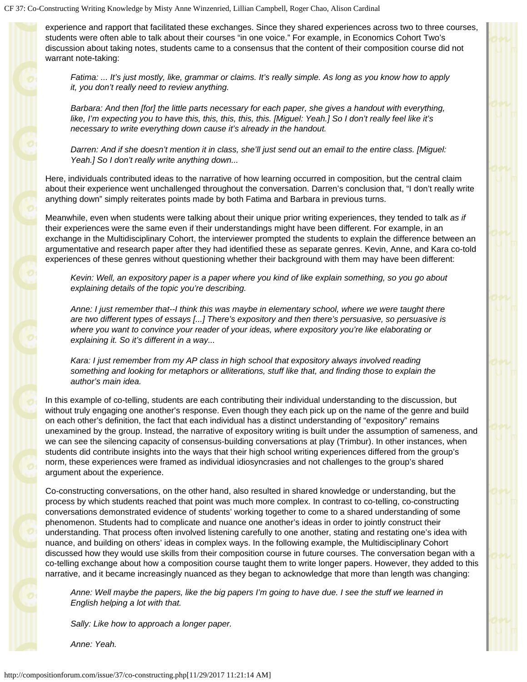experience and rapport that facilitated these exchanges. Since they shared experiences across two to three courses, students were often able to talk about their courses "in one voice." For example, in Economics Cohort Two's discussion about taking notes, students came to a consensus that the content of their composition course did not warrant note-taking:

*Fatima: ... It's just mostly, like, grammar or claims. It's really simple. As long as you know how to apply it, you don't really need to review anything.*

*Barbara: And then [for] the little parts necessary for each paper, she gives a handout with everything, like, I'm expecting you to have this, this, this, this, this. [Miguel: Yeah.] So I don't really feel like it's necessary to write everything down cause it's already in the handout.*

*Darren: And if she doesn't mention it in class, she'll just send out an email to the entire class. [Miguel: Yeah.] So I don't really write anything down...*

Here, individuals contributed ideas to the narrative of how learning occurred in composition, but the central claim about their experience went unchallenged throughout the conversation. Darren's conclusion that, "I don't really write anything down" simply reiterates points made by both Fatima and Barbara in previous turns.

Meanwhile, even when students were talking about their unique prior writing experiences, they tended to talk *as if* their experiences were the same even if their understandings might have been different. For example, in an exchange in the Multidisciplinary Cohort, the interviewer prompted the students to explain the difference between an argumentative and research paper after they had identified these as separate genres. Kevin, Anne, and Kara co-told experiences of these genres without questioning whether their background with them may have been different:

*Kevin: Well, an expository paper is a paper where you kind of like explain something, so you go about explaining details of the topic you're describing.*

*Anne: I just remember that--I think this was maybe in elementary school, where we were taught there are two different types of essays [...] There's expository and then there's persuasive, so persuasive is where you want to convince your reader of your ideas, where expository you're like elaborating or explaining it. So it's different in a way...*

*Kara: I just remember from my AP class in high school that expository always involved reading something and looking for metaphors or alliterations, stuff like that, and finding those to explain the author's main idea.*

In this example of co-telling, students are each contributing their individual understanding to the discussion, but without truly engaging one another's response. Even though they each pick up on the name of the genre and build on each other's definition, the fact that each individual has a distinct understanding of "expository" remains unexamined by the group. Instead, the narrative of expository writing is built under the assumption of sameness, and we can see the silencing capacity of consensus-building conversations at play (Trimbur). In other instances, when students did contribute insights into the ways that their high school writing experiences differed from the group's norm, these experiences were framed as individual idiosyncrasies and not challenges to the group's shared argument about the experience.

Co-constructing conversations, on the other hand, also resulted in shared knowledge or understanding, but the process by which students reached that point was much more complex. In contrast to co-telling, co-constructing conversations demonstrated evidence of students' working together to come to a shared understanding of some phenomenon. Students had to complicate and nuance one another's ideas in order to jointly construct their understanding. That process often involved listening carefully to one another, stating and restating one's idea with nuance, and building on others' ideas in complex ways. In the following example, the Multidisciplinary Cohort discussed how they would use skills from their composition course in future courses. The conversation began with a co-telling exchange about how a composition course taught them to write longer papers. However, they added to this narrative, and it became increasingly nuanced as they began to acknowledge that more than length was changing:

*Anne: Well maybe the papers, like the big papers I'm going to have due. I see the stuff we learned in English helping a lot with that.*

*Sally: Like how to approach a longer paper.*

*Anne: Yeah.*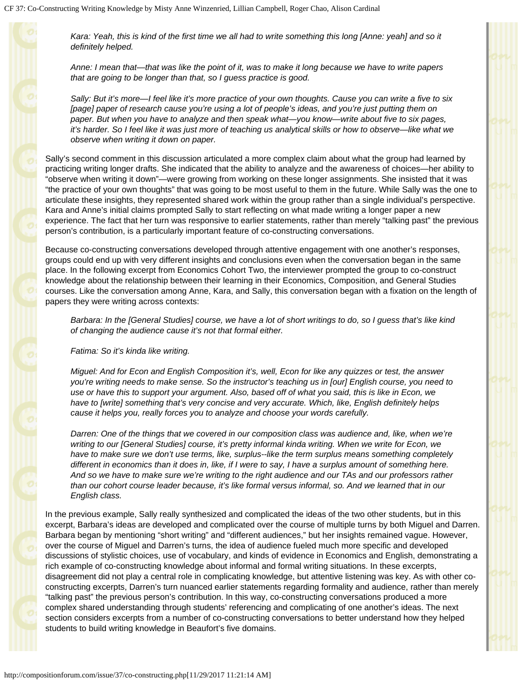*Kara: Yeah, this is kind of the first time we all had to write something this long [Anne: yeah] and so it definitely helped.*

*Anne: I mean that—that was like the point of it, was to make it long because we have to write papers that are going to be longer than that, so I guess practice is good.*

*Sally: But it's more—I feel like it's more practice of your own thoughts. Cause you can write a five to six [page] paper of research cause you're using a lot of people's ideas, and you're just putting them on paper. But when you have to analyze and then speak what—you know—write about five to six pages, it's harder. So I feel like it was just more of teaching us analytical skills or how to observe—like what we observe when writing it down on paper.*

Sally's second comment in this discussion articulated a more complex claim about what the group had learned by practicing writing longer drafts. She indicated that the ability to analyze and the awareness of choices—her ability to "observe when writing it down"—were growing from working on these longer assignments. She insisted that it was "the practice of your own thoughts" that was going to be most useful to them in the future. While Sally was the one to articulate these insights, they represented shared work within the group rather than a single individual's perspective. Kara and Anne's initial claims prompted Sally to start reflecting on what made writing a longer paper a new experience. The fact that her turn was responsive to earlier statements, rather than merely "talking past" the previous person's contribution, is a particularly important feature of co-constructing conversations.

Because co-constructing conversations developed through attentive engagement with one another's responses, groups could end up with very different insights and conclusions even when the conversation began in the same place. In the following excerpt from Economics Cohort Two, the interviewer prompted the group to co-construct knowledge about the relationship between their learning in their Economics, Composition, and General Studies courses. Like the conversation among Anne, Kara, and Sally, this conversation began with a fixation on the length of papers they were writing across contexts:

*Barbara: In the [General Studies] course, we have a lot of short writings to do, so I guess that's like kind of changing the audience cause it's not that formal either.*

*Fatima: So it's kinda like writing.*

*Miguel: And for Econ and English Composition it's, well, Econ for like any quizzes or test, the answer you're writing needs to make sense. So the instructor's teaching us in [our] English course, you need to use or have this to support your argument. Also, based off of what you said, this is like in Econ, we have to [write] something that's very concise and very accurate. Which, like, English definitely helps cause it helps you, really forces you to analyze and choose your words carefully.*

*Darren: One of the things that we covered in our composition class was audience and, like, when we're writing to our [General Studies] course, it's pretty informal kinda writing. When we write for Econ, we have to make sure we don't use terms, like, surplus--like the term surplus means something completely different in economics than it does in, like, if I were to say, I have a surplus amount of something here. And so we have to make sure we're writing to the right audience and our TAs and our professors rather than our cohort course leader because, it's like formal versus informal, so. And we learned that in our English class.*

In the previous example, Sally really synthesized and complicated the ideas of the two other students, but in this excerpt, Barbara's ideas are developed and complicated over the course of multiple turns by both Miguel and Darren. Barbara began by mentioning "short writing" and "different audiences," but her insights remained vague. However, over the course of Miguel and Darren's turns, the idea of audience fueled much more specific and developed discussions of stylistic choices, use of vocabulary, and kinds of evidence in Economics and English, demonstrating a rich example of co-constructing knowledge about informal and formal writing situations. In these excerpts, disagreement did not play a central role in complicating knowledge, but attentive listening was key. As with other coconstructing excerpts, Darren's turn nuanced earlier statements regarding formality and audience, rather than merely "talking past" the previous person's contribution. In this way, co-constructing conversations produced a more complex shared understanding through students' referencing and complicating of one another's ideas. The next section considers excerpts from a number of co-constructing conversations to better understand how they helped students to build writing knowledge in Beaufort's five domains.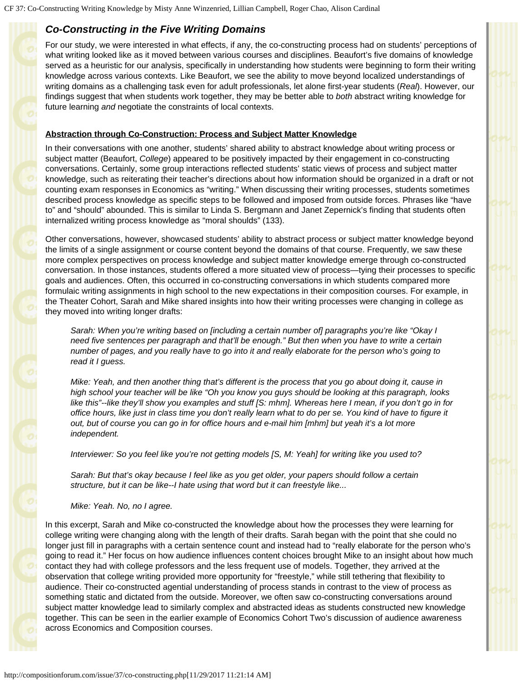## *Co-Constructing in the Five Writing Domains*

For our study, we were interested in what effects, if any, the co-constructing process had on students' perceptions of what writing looked like as it moved between various courses and disciplines. Beaufort's five domains of knowledge served as a heuristic for our analysis, specifically in understanding how students were beginning to form their writing knowledge across various contexts. Like Beaufort, we see the ability to move beyond localized understandings of writing domains as a challenging task even for adult professionals, let alone first-year students (*Real*). However, our findings suggest that when students work together, they may be better able to *both* abstract writing knowledge for future learning *and* negotiate the constraints of local contexts.

### **Abstraction through Co-Construction: Process and Subject Matter Knowledge**

In their conversations with one another, students' shared ability to abstract knowledge about writing process or subject matter (Beaufort, *College*) appeared to be positively impacted by their engagement in co-constructing conversations. Certainly, some group interactions reflected students' static views of process and subject matter knowledge, such as reiterating their teacher's directions about how information should be organized in a draft or not counting exam responses in Economics as "writing." When discussing their writing processes, students sometimes described process knowledge as specific steps to be followed and imposed from outside forces. Phrases like "have to" and "should" abounded. This is similar to Linda S. Bergmann and Janet Zepernick's finding that students often internalized writing process knowledge as "moral shoulds" (133).

Other conversations, however, showcased students' ability to abstract process or subject matter knowledge beyond the limits of a single assignment or course content beyond the domains of that course. Frequently, we saw these more complex perspectives on process knowledge and subject matter knowledge emerge through co-constructed conversation. In those instances, students offered a more situated view of process—tying their processes to specific goals and audiences. Often, this occurred in co-constructing conversations in which students compared more formulaic writing assignments in high school to the new expectations in their composition courses. For example, in the Theater Cohort, Sarah and Mike shared insights into how their writing processes were changing in college as they moved into writing longer drafts:

*Sarah: When you're writing based on [including a certain number of] paragraphs you're like "Okay I need five sentences per paragraph and that'll be enough." But then when you have to write a certain number of pages, and you really have to go into it and really elaborate for the person who's going to read it I guess.*

*Mike: Yeah, and then another thing that's different is the process that you go about doing it, cause in high school your teacher will be like "Oh you know you guys should be looking at this paragraph, looks like this"--like they'll show you examples and stuff [S: mhm]. Whereas here I mean, if you don't go in for office hours, like just in class time you don't really learn what to do per se. You kind of have to figure it out, but of course you can go in for office hours and e-mail him [mhm] but yeah it's a lot more independent.*

*Interviewer: So you feel like you're not getting models [S, M: Yeah] for writing like you used to?*

*Sarah: But that's okay because I feel like as you get older, your papers should follow a certain structure, but it can be like--I hate using that word but it can freestyle like...*

*Mike: Yeah. No, no I agree.*

In this excerpt, Sarah and Mike co-constructed the knowledge about how the processes they were learning for college writing were changing along with the length of their drafts. Sarah began with the point that she could no longer just fill in paragraphs with a certain sentence count and instead had to "really elaborate for the person who's going to read it." Her focus on how audience influences content choices brought Mike to an insight about how much contact they had with college professors and the less frequent use of models. Together, they arrived at the observation that college writing provided more opportunity for "freestyle," while still tethering that flexibility to audience. Their co-constructed agential understanding of process stands in contrast to the view of process as something static and dictated from the outside. Moreover, we often saw co-constructing conversations around subject matter knowledge lead to similarly complex and abstracted ideas as students constructed new knowledge together. This can be seen in the earlier example of Economics Cohort Two's discussion of audience awareness across Economics and Composition courses.

http://compositionforum.com/issue/37/co-constructing.php[11/29/2017 11:21:14 AM]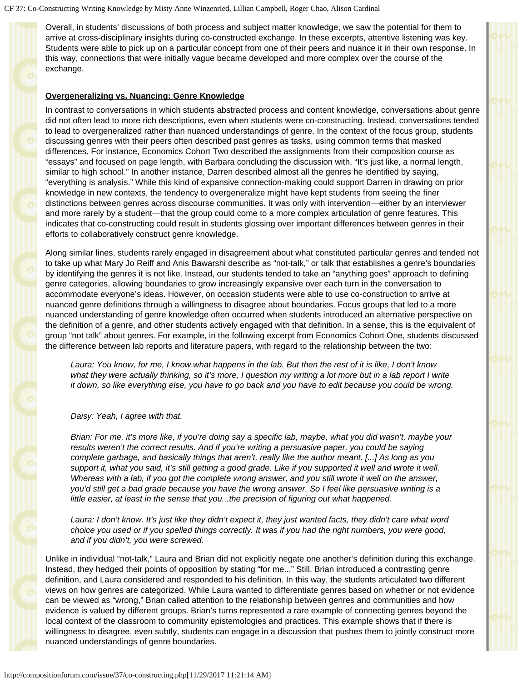Overall, in students' discussions of both process and subject matter knowledge, we saw the potential for them to arrive at cross-disciplinary insights during co-constructed exchange. In these excerpts, attentive listening was key. Students were able to pick up on a particular concept from one of their peers and nuance it in their own response. In this way, connections that were initially vague became developed and more complex over the course of the exchange.

#### **Overgeneralizing vs. Nuancing: Genre Knowledge**

In contrast to conversations in which students abstracted process and content knowledge, conversations about genre did not often lead to more rich descriptions, even when students were co-constructing. Instead, conversations tended to lead to overgeneralized rather than nuanced understandings of genre. In the context of the focus group, students discussing genres with their peers often described past genres as tasks, using common terms that masked differences. For instance, Economics Cohort Two described the assignments from their composition course as "essays" and focused on page length, with Barbara concluding the discussion with, "It's just like, a normal length, similar to high school." In another instance, Darren described almost all the genres he identified by saying, "everything is analysis." While this kind of expansive connection-making could support Darren in drawing on prior knowledge in new contexts, the tendency to overgeneralize might have kept students from seeing the finer distinctions between genres across discourse communities. It was only with intervention—either by an interviewer and more rarely by a student—that the group could come to a more complex articulation of genre features. This indicates that co-constructing could result in students glossing over important differences between genres in their efforts to collaboratively construct genre knowledge.

Along similar lines, students rarely engaged in disagreement about what constituted particular genres and tended not to take up what Mary Jo Reiff and Anis Bawarshi describe as "not-talk," or talk that establishes a genre's boundaries by identifying the genres it is not like. Instead, our students tended to take an "anything goes" approach to defining genre categories, allowing boundaries to grow increasingly expansive over each turn in the conversation to accommodate everyone's ideas. However, on occasion students were able to use co-construction to arrive at nuanced genre definitions through a willingness to disagree about boundaries. Focus groups that led to a more nuanced understanding of genre knowledge often occurred when students introduced an alternative perspective on the definition of a genre, and other students actively engaged with that definition. In a sense, this is the equivalent of group "not talk" about genres. For example, in the following excerpt from Economics Cohort One, students discussed the difference between lab reports and literature papers, with regard to the relationship between the two:

*Laura: You know, for me, I know what happens in the lab. But then the rest of it is like, I don't know what they were actually thinking, so it's more, I question my writing a lot more but in a lab report I write it down, so like everything else, you have to go back and you have to edit because you could be wrong.*

#### *Daisy: Yeah, I agree with that.*

*Brian: For me, it's more like, if you're doing say a specific lab, maybe, what you did wasn't, maybe your results weren't the correct results. And if you're writing a persuasive paper, you could be saying complete garbage, and basically things that aren't, really like the author meant. [...] As long as you support it, what you said, it's still getting a good grade. Like if you supported it well and wrote it well. Whereas with a lab, if you got the complete wrong answer, and you still wrote it well on the answer, you'd still get a bad grade because you have the wrong answer. So I feel like persuasive writing is a little easier, at least in the sense that you...the precision of figuring out what happened.*

*Laura: I don't know. It's just like they didn't expect it, they just wanted facts, they didn't care what word choice you used or if you spelled things correctly. It was if you had the right numbers, you were good, and if you didn't, you were screwed.*

Unlike in individual "not-talk," Laura and Brian did not explicitly negate one another's definition during this exchange. Instead, they hedged their points of opposition by stating "for me..." Still, Brian introduced a contrasting genre definition, and Laura considered and responded to his definition. In this way, the students articulated two different views on how genres are categorized. While Laura wanted to differentiate genres based on whether or not evidence can be viewed as "wrong," Brian called attention to the relationship between genres and communities and how evidence is valued by different groups. Brian's turns represented a rare example of connecting genres beyond the local context of the classroom to community epistemologies and practices. This example shows that if there is willingness to disagree, even subtly, students can engage in a discussion that pushes them to jointly construct more nuanced understandings of genre boundaries.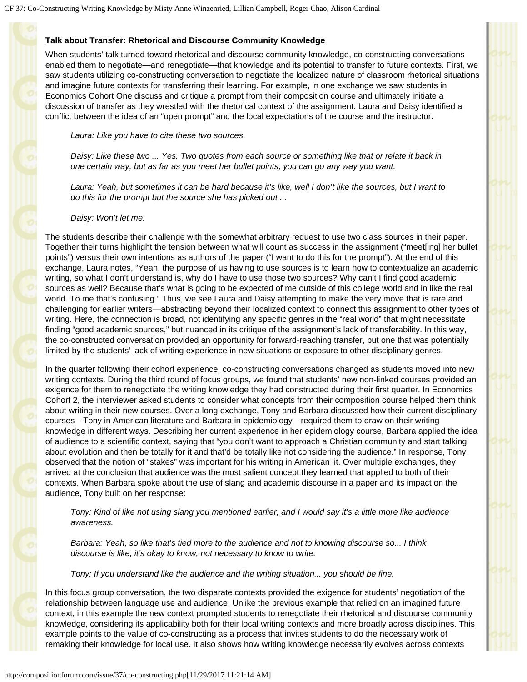### **Talk about Transfer: Rhetorical and Discourse Community Knowledge**

When students' talk turned toward rhetorical and discourse community knowledge, co-constructing conversations enabled them to negotiate—and renegotiate—that knowledge and its potential to transfer to future contexts. First, we saw students utilizing co-constructing conversation to negotiate the localized nature of classroom rhetorical situations and imagine future contexts for transferring their learning. For example, in one exchange we saw students in Economics Cohort One discuss and critique a prompt from their composition course and ultimately initiate a discussion of transfer as they wrestled with the rhetorical context of the assignment. Laura and Daisy identified a conflict between the idea of an "open prompt" and the local expectations of the course and the instructor.

*Laura: Like you have to cite these two sources.*

*Daisy: Like these two ... Yes. Two quotes from each source or something like that or relate it back in one certain way, but as far as you meet her bullet points, you can go any way you want.*

*Laura: Yeah, but sometimes it can be hard because it's like, well I don't like the sources, but I want to do this for the prompt but the source she has picked out ...*

*Daisy: Won't let me.*

The students describe their challenge with the somewhat arbitrary request to use two class sources in their paper. Together their turns highlight the tension between what will count as success in the assignment ("meet[ing] her bullet points") versus their own intentions as authors of the paper ("I want to do this for the prompt"). At the end of this exchange, Laura notes, "Yeah, the purpose of us having to use sources is to learn how to contextualize an academic writing, so what I don't understand is, why do I have to use those two sources? Why can't I find good academic sources as well? Because that's what is going to be expected of me outside of this college world and in like the real world. To me that's confusing." Thus, we see Laura and Daisy attempting to make the very move that is rare and challenging for earlier writers—abstracting beyond their localized context to connect this assignment to other types of writing. Here, the connection is broad, not identifying any specific genres in the "real world" that might necessitate finding "good academic sources," but nuanced in its critique of the assignment's lack of transferability. In this way, the co-constructed conversation provided an opportunity for forward-reaching transfer, but one that was potentially limited by the students' lack of writing experience in new situations or exposure to other disciplinary genres.

In the quarter following their cohort experience, co-constructing conversations changed as students moved into new writing contexts. During the third round of focus groups, we found that students' new non-linked courses provided an exigence for them to renegotiate the writing knowledge they had constructed during their first quarter. In Economics Cohort 2, the interviewer asked students to consider what concepts from their composition course helped them think about writing in their new courses. Over a long exchange, Tony and Barbara discussed how their current disciplinary courses—Tony in American literature and Barbara in epidemiology—required them to draw on their writing knowledge in different ways. Describing her current experience in her epidemiology course, Barbara applied the idea of audience to a scientific context, saying that "you don't want to approach a Christian community and start talking about evolution and then be totally for it and that'd be totally like not considering the audience." In response, Tony observed that the notion of "stakes" was important for his writing in American lit. Over multiple exchanges, they arrived at the conclusion that audience was the most salient concept they learned that applied to both of their contexts. When Barbara spoke about the use of slang and academic discourse in a paper and its impact on the audience, Tony built on her response:

*Tony: Kind of like not using slang you mentioned earlier, and I would say it's a little more like audience awareness.*

*Barbara: Yeah, so like that's tied more to the audience and not to knowing discourse so... I think discourse is like, it's okay to know, not necessary to know to write.*

*Tony: If you understand like the audience and the writing situation... you should be fine.*

In this focus group conversation, the two disparate contexts provided the exigence for students' negotiation of the relationship between language use and audience. Unlike the previous example that relied on an imagined future context, in this example the new context prompted students to renegotiate their rhetorical and discourse community knowledge, considering its applicability both for their local writing contexts and more broadly across disciplines. This example points to the value of co-constructing as a process that invites students to do the necessary work of remaking their knowledge for local use. It also shows how writing knowledge necessarily evolves across contexts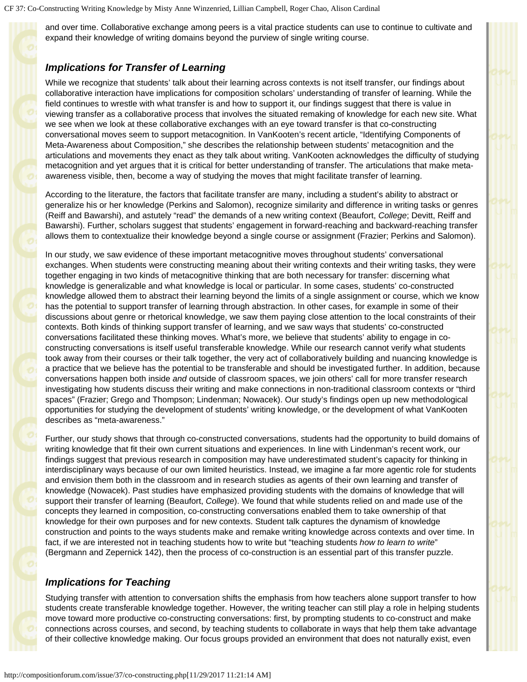and over time. Collaborative exchange among peers is a vital practice students can use to continue to cultivate and expand their knowledge of writing domains beyond the purview of single writing course.

### *Implications for Transfer of Learning*

While we recognize that students' talk about their learning across contexts is not itself transfer, our findings about collaborative interaction have implications for composition scholars' understanding of transfer of learning. While the field continues to wrestle with what transfer is and how to support it, our findings suggest that there is value in viewing transfer as a collaborative process that involves the situated remaking of knowledge for each new site. What we see when we look at these collaborative exchanges with an eye toward transfer is that co-constructing conversational moves seem to support metacognition. In VanKooten's recent article, "Identifying Components of Meta-Awareness about Composition," she describes the relationship between students' metacognition and the articulations and movements they enact as they talk about writing. VanKooten acknowledges the difficulty of studying metacognition and yet argues that it is critical for better understanding of transfer. The articulations that make metaawareness visible, then, become a way of studying the moves that might facilitate transfer of learning.

According to the literature, the factors that facilitate transfer are many, including a student's ability to abstract or generalize his or her knowledge (Perkins and Salomon), recognize similarity and difference in writing tasks or genres (Reiff and Bawarshi), and astutely "read" the demands of a new writing context (Beaufort, *College*; Devitt, Reiff and Bawarshi). Further, scholars suggest that students' engagement in forward-reaching and backward-reaching transfer allows them to contextualize their knowledge beyond a single course or assignment (Frazier; Perkins and Salomon).

In our study, we saw evidence of these important metacognitive moves throughout students' conversational exchanges. When students were constructing meaning about their writing contexts and their writing tasks, they were together engaging in two kinds of metacognitive thinking that are both necessary for transfer: discerning what knowledge is generalizable and what knowledge is local or particular. In some cases, students' co-constructed knowledge allowed them to abstract their learning beyond the limits of a single assignment or course, which we know has the potential to support transfer of learning through abstraction. In other cases, for example in some of their discussions about genre or rhetorical knowledge, we saw them paying close attention to the local constraints of their contexts. Both kinds of thinking support transfer of learning, and we saw ways that students' co-constructed conversations facilitated these thinking moves. What's more, we believe that students' ability to engage in coconstructing conversations is itself useful transferable knowledge. While our research cannot verify what students took away from their courses or their talk together, the very act of collaboratively building and nuancing knowledge is a practice that we believe has the potential to be transferable and should be investigated further. In addition, because conversations happen both inside *and* outside of classroom spaces, we join others' call for more transfer research investigating how students discuss their writing and make connections in non-traditional classroom contexts or "third spaces" (Frazier; Grego and Thompson; Lindenman; Nowacek). Our study's findings open up new methodological opportunities for studying the development of students' writing knowledge, or the development of what VanKooten describes as "meta-awareness."

Further, our study shows that through co-constructed conversations, students had the opportunity to build domains of writing knowledge that fit their own current situations and experiences. In line with Lindenman's recent work, our findings suggest that previous research in composition may have underestimated student's capacity for thinking in interdisciplinary ways because of our own limited heuristics. Instead, we imagine a far more agentic role for students and envision them both in the classroom and in research studies as agents of their own learning and transfer of knowledge (Nowacek). Past studies have emphasized providing students with the domains of knowledge that will support their transfer of learning (Beaufort, *College*). We found that while students relied on and made use of the concepts they learned in composition, co-constructing conversations enabled them to take ownership of that knowledge for their own purposes and for new contexts. Student talk captures the dynamism of knowledge construction and points to the ways students make and remake writing knowledge across contexts and over time. In fact, if we are interested not in teaching students how to write but "teaching students *how to learn to write*" (Bergmann and Zepernick 142), then the process of co-construction is an essential part of this transfer puzzle.

### *Implications for Teaching*

Studying transfer with attention to conversation shifts the emphasis from how teachers alone support transfer to how students create transferable knowledge together. However, the writing teacher can still play a role in helping students move toward more productive co-constructing conversations: first, by prompting students to co-construct and make connections across courses, and second, by teaching students to collaborate in ways that help them take advantage of their collective knowledge making. Our focus groups provided an environment that does not naturally exist, even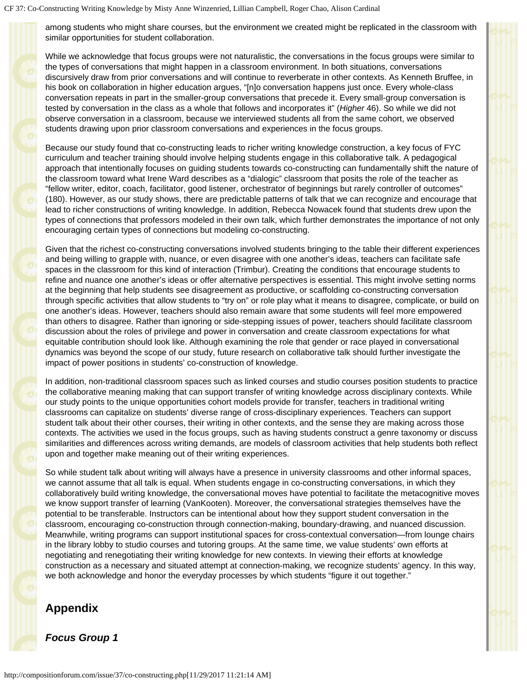among students who might share courses, but the environment we created might be replicated in the classroom with similar opportunities for student collaboration.

While we acknowledge that focus groups were not naturalistic, the conversations in the focus groups were similar to the types of conversations that might happen in a classroom environment. In both situations, conversations discursively draw from prior conversations and will continue to reverberate in other contexts. As Kenneth Bruffee, in his book on collaboration in higher education argues, "[n]o conversation happens just once. Every whole-class conversation repeats in part in the smaller-group conversations that precede it. Every small-group conversation is tested by conversation in the class as a whole that follows and incorporates it" (*Higher* 46). So while we did not observe conversation in a classroom, because we interviewed students all from the same cohort, we observed students drawing upon prior classroom conversations and experiences in the focus groups.

Because our study found that co-constructing leads to richer writing knowledge construction, a key focus of FYC curriculum and teacher training should involve helping students engage in this collaborative talk. A pedagogical approach that intentionally focuses on guiding students towards co-constructing can fundamentally shift the nature of the classroom toward what Irene Ward describes as a "dialogic" classroom that posits the role of the teacher as "fellow writer, editor, coach, facilitator, good listener, orchestrator of beginnings but rarely controller of outcomes" (180). However, as our study shows, there are predictable patterns of talk that we can recognize and encourage that lead to richer constructions of writing knowledge. In addition, Rebecca Nowacek found that students drew upon the types of connections that professors modeled in their own talk, which further demonstrates the importance of not only encouraging certain types of connections but modeling co-constructing.

Given that the richest co-constructing conversations involved students bringing to the table their different experiences and being willing to grapple with, nuance, or even disagree with one another's ideas, teachers can facilitate safe spaces in the classroom for this kind of interaction (Trimbur). Creating the conditions that encourage students to refine and nuance one another's ideas or offer alternative perspectives is essential. This might involve setting norms at the beginning that help students see disagreement as productive, or scaffolding co-constructing conversation through specific activities that allow students to "try on" or role play what it means to disagree, complicate, or build on one another's ideas. However, teachers should also remain aware that some students will feel more empowered than others to disagree. Rather than ignoring or side-stepping issues of power, teachers should facilitate classroom discussion about the roles of privilege and power in conversation and create classroom expectations for what equitable contribution should look like. Although examining the role that gender or race played in conversational dynamics was beyond the scope of our study, future research on collaborative talk should further investigate the impact of power positions in students' co-construction of knowledge.

In addition, non-traditional classroom spaces such as linked courses and studio courses position students to practice the collaborative meaning making that can support transfer of writing knowledge across disciplinary contexts. While our study points to the unique opportunities cohort models provide for transfer, teachers in traditional writing classrooms can capitalize on students' diverse range of cross-disciplinary experiences. Teachers can support student talk about their other courses, their writing in other contexts, and the sense they are making across those contexts. The activities we used in the focus groups, such as having students construct a genre taxonomy or discuss similarities and differences across writing demands, are models of classroom activities that help students both reflect upon and together make meaning out of their writing experiences.

So while student talk about writing will always have a presence in university classrooms and other informal spaces, we cannot assume that all talk is equal. When students engage in co-constructing conversations, in which they collaboratively build writing knowledge, the conversational moves have potential to facilitate the metacognitive moves we know support transfer of learning (VanKooten). Moreover, the conversational strategies themselves have the potential to be transferable. Instructors can be intentional about how they support student conversation in the classroom, encouraging co-construction through connection-making, boundary-drawing, and nuanced discussion. Meanwhile, writing programs can support institutional spaces for cross-contextual conversation—from lounge chairs in the library lobby to studio courses and tutoring groups. At the same time, we value students' own efforts at negotiating and renegotiating their writing knowledge for new contexts. In viewing their efforts at knowledge construction as a necessary and situated attempt at connection-making, we recognize students' agency. In this way, we both acknowledge and honor the everyday processes by which students "figure it out together."

### <span id="page-11-0"></span>**Appendix**

*Focus Group 1*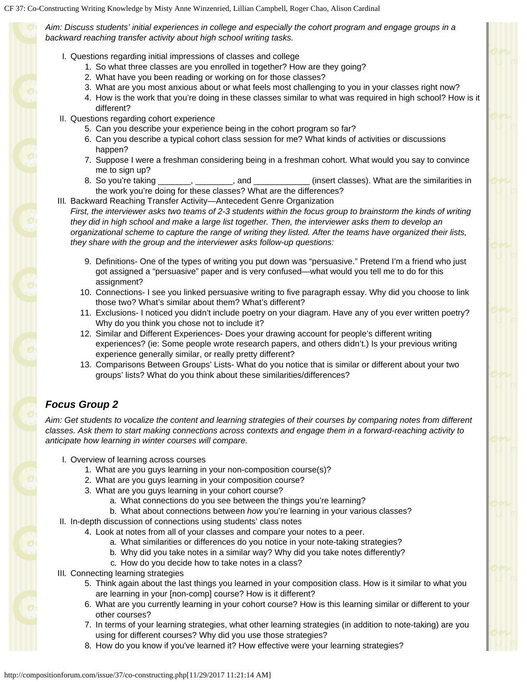*Aim: Discuss students' initial experiences in college and especially the cohort program and engage groups in a backward reaching transfer activity about high school writing tasks.*

- I. Questions regarding initial impressions of classes and college
	- 1. So what three classes are you enrolled in together? How are they going?
	- 2. What have you been reading or working on for those classes?
	- 3. What are you most anxious about or what feels most challenging to you in your classes right now?
	- 4. How is the work that you're doing in these classes similar to what was required in high school? How is it different?
- II. Questions regarding cohort experience
	- 5. Can you describe your experience being in the cohort program so far?
	- 6. Can you describe a typical cohort class session for me? What kinds of activities or discussions happen?
	- 7. Suppose I were a freshman considering being in a freshman cohort. What would you say to convince me to sign up?
	- 8. So you're taking \_\_\_\_\_\_, \_\_\_\_\_\_\_, and \_\_\_\_\_\_\_\_\_\_\_\_\_ (insert classes). What are the similarities in the work you're doing for these classes? What are the differences?
- III. Backward Reaching Transfer Activity—Antecedent Genre Organization

*First, the interviewer asks two teams of 2-3 students within the focus group to brainstorm the kinds of writing they did in high school and make a large list together. Then, the interviewer asks them to develop an organizational scheme to capture the range of writing they listed. After the teams have organized their lists, they share with the group and the interviewer asks follow-up questions:*

- 9. Definitions- One of the types of writing you put down was "persuasive." Pretend I'm a friend who just got assigned a "persuasive" paper and is very confused—what would you tell me to do for this assignment?
- 10. Connections- I see you linked persuasive writing to five paragraph essay. Why did you choose to link those two? What's similar about them? What's different?
- 11. Exclusions- I noticed you didn't include poetry on your diagram. Have any of you ever written poetry? Why do you think you chose not to include it?
- 12. Similar and Different Experiences- Does your drawing account for people's different writing experiences? (ie: Some people wrote research papers, and others didn't.) Is your previous writing experience generally similar, or really pretty different?
- 13. Comparisons Between Groups' Lists- What do you notice that is similar or different about your two groups' lists? What do you think about these similarities/differences?

## *Focus Group 2*

*Aim: Get students to vocalize the content and learning strategies of their courses by comparing notes from different classes. Ask them to start making connections across contexts and engage them in a forward-reaching activity to anticipate how learning in winter courses will compare.*

- I. Overview of learning across courses
	- 1. What are you guys learning in your non-composition course(s)?
	- 2. What are you guys learning in your composition course?
	- 3. What are you guys learning in your cohort course?
		- a. What connections do you see between the things you're learning?
	- b. What about connections between *how* you're learning in your various classes?
- II. In-depth discussion of connections using students' class notes
	- 4. Look at notes from all of your classes and compare your notes to a peer.
		- a. What similarities or differences do you notice in your note-taking strategies?
		- b. Why did you take notes in a similar way? Why did you take notes differently?
		- c. How do you decide how to take notes in a class?
- III. Connecting learning strategies
	- 5. Think again about the last things you learned in your composition class. How is it similar to what you are learning in your [non-comp] course? How is it different?
	- 6. What are you currently learning in your cohort course? How is this learning similar or different to your other courses?
	- 7. In terms of your learning strategies, what other learning strategies (in addition to note-taking) are you using for different courses? Why did you use those strategies?
	- 8. How do you know if you've learned it? How effective were your learning strategies?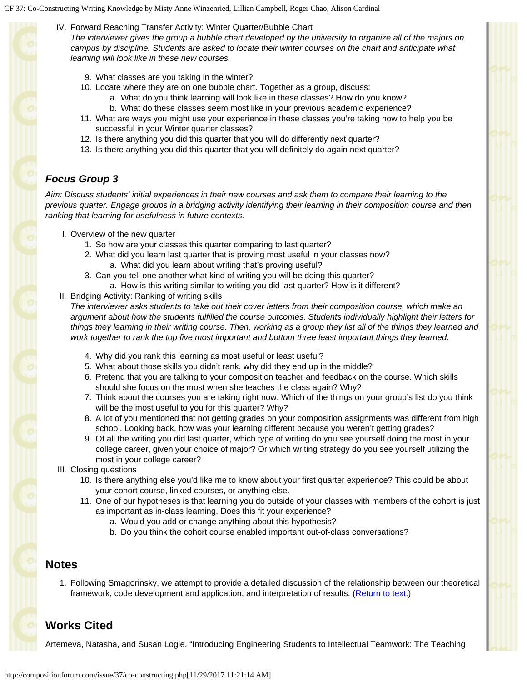IV. Forward Reaching Transfer Activity: Winter Quarter/Bubble Chart

*The interviewer gives the group a bubble chart developed by the university to organize all of the majors on campus by discipline. Students are asked to locate their winter courses on the chart and anticipate what learning will look like in these new courses.*

- 9. What classes are you taking in the winter?
- 10. Locate where they are on one bubble chart. Together as a group, discuss:
	- a. What do you think learning will look like in these classes? How do you know?
	- b. What do these classes seem most like in your previous academic experience?
- 11. What are ways you might use your experience in these classes you're taking now to help you be successful in your Winter quarter classes?
- 12. Is there anything you did this quarter that you will do differently next quarter?
- 13. Is there anything you did this quarter that you will definitely do again next quarter?

# *Focus Group 3*

*Aim: Discuss students' initial experiences in their new courses and ask them to compare their learning to the previous quarter. Engage groups in a bridging activity identifying their learning in their composition course and then ranking that learning for usefulness in future contexts.*

- I. Overview of the new quarter
	- 1. So how are your classes this quarter comparing to last quarter?
	- 2. What did you learn last quarter that is proving most useful in your classes now? a. What did you learn about writing that's proving useful?
	- 3. Can you tell one another what kind of writing you will be doing this quarter?
		- a. How is this writing similar to writing you did last quarter? How is it different?
- II. Bridging Activity: Ranking of writing skills

*The interviewer asks students to take out their cover letters from their composition course, which make an argument about how the students fulfilled the course outcomes. Students individually highlight their letters for things they learning in their writing course. Then, working as a group they list all of the things they learned and work together to rank the top five most important and bottom three least important things they learned.*

- 4. Why did you rank this learning as most useful or least useful?
- 5. What about those skills you didn't rank, why did they end up in the middle?
- 6. Pretend that you are talking to your composition teacher and feedback on the course. Which skills should she focus on the most when she teaches the class again? Why?
- 7. Think about the courses you are taking right now. Which of the things on your group's list do you think will be the most useful to you for this quarter? Why?
- 8. A lot of you mentioned that not getting grades on your composition assignments was different from high school. Looking back, how was your learning different because you weren't getting grades?
- 9. Of all the writing you did last quarter, which type of writing do you see yourself doing the most in your college career, given your choice of major? Or which writing strategy do you see yourself utilizing the most in your college career?
- III. Closing questions
	- 10. Is there anything else you'd like me to know about your first quarter experience? This could be about your cohort course, linked courses, or anything else.
	- 11. One of our hypotheses is that learning you do outside of your classes with members of the cohort is just as important as in-class learning. Does this fit your experience?
		- a. Would you add or change anything about this hypothesis?
		- b. Do you think the cohort course enabled important out-of-class conversations?

# <span id="page-13-0"></span>**Notes**

1. Following Smagorinsky, we attempt to provide a detailed discussion of the relationship between our theoretical framework, code development and application, and interpretation of results. [\(Return to text.](#page-4-0))

# **Works Cited**

Artemeva, Natasha, and Susan Logie. "Introducing Engineering Students to Intellectual Teamwork: The Teaching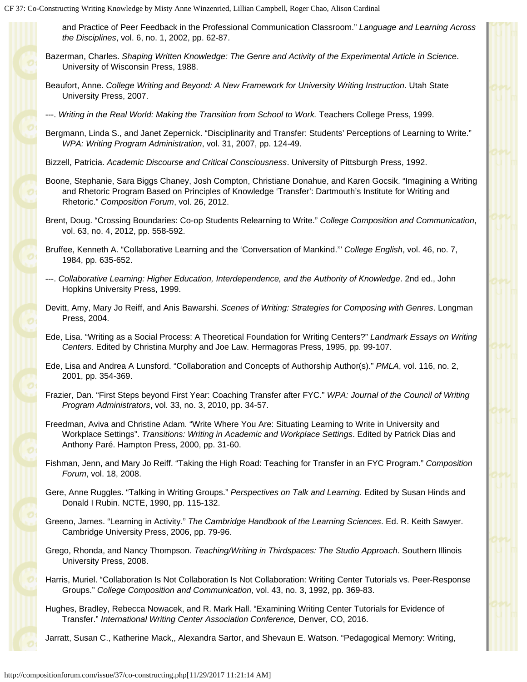and Practice of Peer Feedback in the Professional Communication Classroom." *Language and Learning Across the Disciplines*, vol. 6, no. 1, 2002, pp. 62-87.

- Bazerman, Charles. *Shaping Written Knowledge: The Genre and Activity of the Experimental Article in Science*. University of Wisconsin Press, 1988.
- Beaufort, Anne. *College Writing and Beyond: A New Framework for University Writing Instruction*. Utah State University Press, 2007.
- ---. *Writing in the Real World: Making the Transition from School to Work.* Teachers College Press, 1999.
- Bergmann, Linda S., and Janet Zepernick. "Disciplinarity and Transfer: Students' Perceptions of Learning to Write." *WPA: Writing Program Administration*, vol. 31, 2007, pp. 124-49.
- Bizzell, Patricia. *Academic Discourse and Critical Consciousness*. University of Pittsburgh Press, 1992.
- Boone, Stephanie, Sara Biggs Chaney, Josh Compton, Christiane Donahue, and Karen Gocsik. "Imagining a Writing and Rhetoric Program Based on Principles of Knowledge 'Transfer': Dartmouth's Institute for Writing and Rhetoric." *Composition Forum*, vol. 26, 2012.
- Brent, Doug. "Crossing Boundaries: Co-op Students Relearning to Write." *College Composition and Communication*, vol. 63, no. 4, 2012, pp. 558-592.
- Bruffee, Kenneth A. "Collaborative Learning and the 'Conversation of Mankind.'" *College English*, vol. 46, no. 7, 1984, pp. 635-652.
- ---. *Collaborative Learning: Higher Education, Interdependence, and the Authority of Knowledge*. 2nd ed., John Hopkins University Press, 1999.
- Devitt, Amy, Mary Jo Reiff, and Anis Bawarshi. *Scenes of Writing: Strategies for Composing with Genres*. Longman Press, 2004.
- Ede, Lisa. "Writing as a Social Process: A Theoretical Foundation for Writing Centers?" *Landmark Essays on Writing Centers*. Edited by Christina Murphy and Joe Law. Hermagoras Press, 1995, pp. 99-107.
- Ede, Lisa and Andrea A Lunsford. "Collaboration and Concepts of Authorship Author(s)." *PMLA*, vol. 116, no. 2, 2001, pp. 354-369.
- Frazier, Dan. "First Steps beyond First Year: Coaching Transfer after FYC." *WPA: Journal of the Council of Writing Program Administrators*, vol. 33, no. 3, 2010, pp. 34-57.
- Freedman, Aviva and Christine Adam. "Write Where You Are: Situating Learning to Write in University and Workplace Settings". *Transitions: Writing in Academic and Workplace Settings*. Edited by Patrick Dias and Anthony Paré. Hampton Press, 2000, pp. 31-60.
- Fishman, Jenn, and Mary Jo Reiff. "Taking the High Road: Teaching for Transfer in an FYC Program." *Composition Forum*, vol. 18, 2008.
- Gere, Anne Ruggles. "Talking in Writing Groups." *Perspectives on Talk and Learning*. Edited by Susan Hinds and Donald I Rubin. NCTE, 1990, pp. 115-132.
- Greeno, James. "Learning in Activity." *The Cambridge Handbook of the Learning Sciences*. Ed. R. Keith Sawyer. Cambridge University Press, 2006, pp. 79-96.
- Grego, Rhonda, and Nancy Thompson. *Teaching/Writing in Thirdspaces: The Studio Approach*. Southern Illinois University Press, 2008.
- Harris, Muriel. "Collaboration Is Not Collaboration Is Not Collaboration: Writing Center Tutorials vs. Peer-Response Groups." *College Composition and Communication*, vol. 43, no. 3, 1992, pp. 369-83.
- Hughes, Bradley, Rebecca Nowacek, and R. Mark Hall. "Examining Writing Center Tutorials for Evidence of Transfer." *International Writing Center Association Conference,* Denver, CO, 2016.

Jarratt, Susan C., Katherine Mack,, Alexandra Sartor, and Shevaun E. Watson. "Pedagogical Memory: Writing,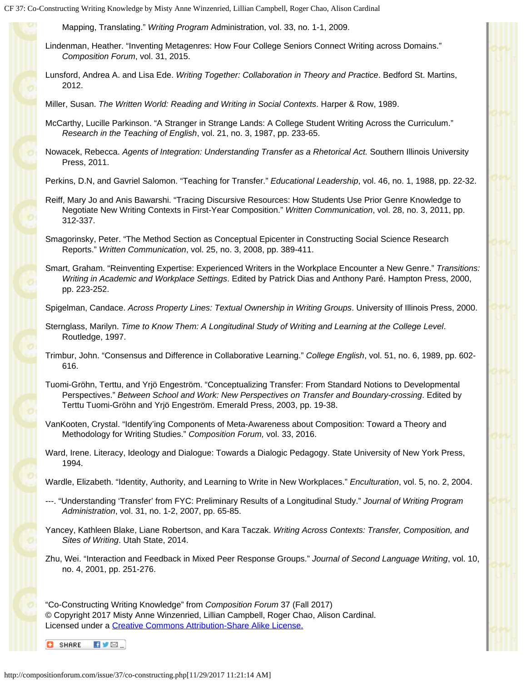Mapping, Translating." *Writing Program* Administration, vol. 33, no. 1-1, 2009.

Lindenman, Heather. "Inventing Metagenres: How Four College Seniors Connect Writing across Domains." *Composition Forum*, vol. 31, 2015.

Lunsford, Andrea A. and Lisa Ede. *Writing Together: Collaboration in Theory and Practice*. Bedford St. Martins, 2012.

Miller, Susan. *The Written World: Reading and Writing in Social Contexts*. Harper & Row, 1989.

- McCarthy, Lucille Parkinson. "A Stranger in Strange Lands: A College Student Writing Across the Curriculum." *Research in the Teaching of English*, vol. 21, no. 3, 1987, pp. 233-65.
- Nowacek, Rebecca. *Agents of Integration: Understanding Transfer as a Rhetorical Act.* Southern Illinois University Press, 2011.
- Perkins, D.N, and Gavriel Salomon. "Teaching for Transfer." *Educational Leadership*, vol. 46, no. 1, 1988, pp. 22-32.
- Reiff, Mary Jo and Anis Bawarshi. "Tracing Discursive Resources: How Students Use Prior Genre Knowledge to Negotiate New Writing Contexts in First-Year Composition." *Written Communication*, vol. 28, no. 3, 2011, pp. 312-337.
- Smagorinsky, Peter. "The Method Section as Conceptual Epicenter in Constructing Social Science Research Reports." *Written Communication*, vol. 25, no. 3, 2008, pp. 389-411.
- Smart, Graham. "Reinventing Expertise: Experienced Writers in the Workplace Encounter a New Genre." *Transitions: Writing in Academic and Workplace Settings*. Edited by Patrick Dias and Anthony Paré. Hampton Press, 2000, pp. 223-252.
- Spigelman, Candace. *Across Property Lines: Textual Ownership in Writing Groups*. University of Illinois Press, 2000.
- Sternglass, Marilyn. *Time to Know Them: A Longitudinal Study of Writing and Learning at the College Level*. Routledge, 1997.
- Trimbur, John. "Consensus and Difference in Collaborative Learning." *College English*, vol. 51, no. 6, 1989, pp. 602- 616.
- Tuomi-Gröhn, Terttu, and Yrjö Engeström. "Conceptualizing Transfer: From Standard Notions to Developmental Perspectives." *Between School and Work: New Perspectives on Transfer and Boundary-crossing*. Edited by Terttu Tuomi-Gröhn and Yrjö Engeström. Emerald Press, 2003, pp. 19-38.
- VanKooten, Crystal. "Identify'ing Components of Meta-Awareness about Composition: Toward a Theory and Methodology for Writing Studies." *Composition Forum,* vol. 33, 2016.
- Ward, Irene. Literacy, Ideology and Dialogue: Towards a Dialogic Pedagogy. State University of New York Press, 1994.

Wardle, Elizabeth. "Identity, Authority, and Learning to Write in New Workplaces." *Enculturation*, vol. 5, no. 2, 2004.

- ---. "Understanding 'Transfer' from FYC: Preliminary Results of a Longitudinal Study." *Journal of Writing Program Administration*, vol. 31, no. 1-2, 2007, pp. 65-85.
- Yancey, Kathleen Blake, Liane Robertson, and Kara Taczak. *Writing Across Contexts: Transfer, Composition, and Sites of Writing*. Utah State, 2014.
- Zhu, Wei. "Interaction and Feedback in Mixed Peer Response Groups." *Journal of Second Language Writing*, vol. 10, no. 4, 2001, pp. 251-276.

"Co-Constructing Writing Knowledge" from *Composition Forum* 37 (Fall 2017) © Copyright 2017 Misty Anne Winzenried, Lillian Campbell, Roger Chao, Alison Cardinal. Licensed under a [Creative Commons Attribution-Share Alike License.](http://compositionforum.com/editorial-policy.php#license)

 $\blacksquare$ **C** SHARE